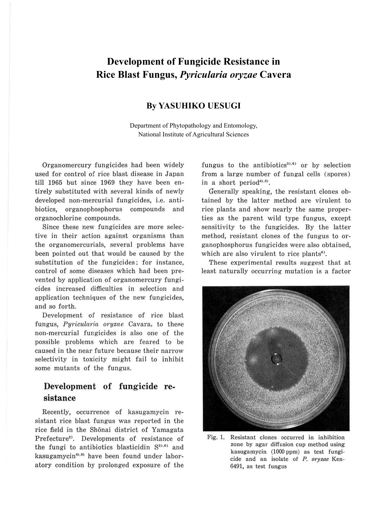# **Development of Fungicide Resistance in Rice Blast Fungus,** *Pyricularia oryzae* **Cavera**

#### **By YASUHIKO UESUGI**

Department of Phytopathology and Entomology, National Institute of Agricultural Sciences

Organomercury fungicides had been widely used for control of rice blast disease in Japan till 1965 but since 1969 they have been entirely substituted with several kinds of newly developed non-mercurial fungicides, i.e. antibiotics, organophosphorus compounds and organochlorine compounds.

Since these new fungicides are more selective in their action against organisms than the organomercurials, several problems have been pointed out that would be caused by the substitution of the fungicides; for instance, control of some diseases which had been prevented by application of organomercury fungicides increased difficulties in selection and application techniques of the new fungicides, and so forth.

Development of resistance of rice blast fungus, *Pyricularia oryzae* Cavara, to these non-mercurial fungicides is also one of the possible problems which are feared to be caused in the near future because their narrow selectivity in toxicity might fail to inhibit some mutants of the fungus.

## **Development of fungicide resistance**

Recently, occurrence of kasugamycin resistant rice blast fungus was reported in the rice field in the Shonai district of Yamagata Prefecture<sup>2)</sup>. Developments of resistance of the fungi to antibiotics blasticidin S33,6) and kasugamycin<sup>4),6)</sup> have been found under laboratory condition by prolonged exposure of the

fungus to the antibiotics<sup>3),6)</sup> or by selection from a large number of fungal cells (spores) in a short period $^{40.6}$ .

Generally speaking, the resistant clones obtained by the latter method are virulent to rice plants and show nearly the same properties as the parent wild type fungus, except sensitivity to the fungicides. By the latter method, resistant clones of the fungus to organophosphorus fungicides were also obtained, which are also virulent to rice plants<sup>6)</sup>.

These experimental results suggest that at least naturally occurring mutation is a factor



Fig. 1. Resistant clones occurred in inhibition zone by agar diffusion cup method using kasugamycin (1000 ppm) as test fungi. cide and an isolate of P. *oryzae* Ken-6491, as test fungus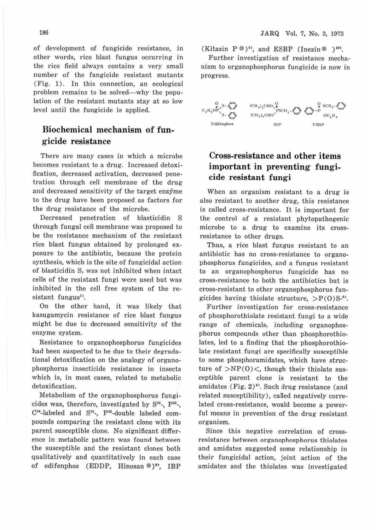of development of fungicide resistance, *in*  other words, rice blast fungus occurring in the rice field always contains a very small number of the fungicide resistant mutants ( Fig. 1). In this connection, an ecological problem remains to be solved—why the population of the resistant mutants stay at so low level until the fungicide is applied.

## **Biochemical mechanism of fungicide resistance**

There are many cases in which a microbe becomes resistant to a drug. Increased detoxification, decreased activation, decreased penetration through cell membrane of the drug and decreased sensitivity of the target enzyme to the drug have been proposed as factors for the drug resistance of the microbe.

Decreased penetration of blasticidin S through fungal cell membrane was proposed to be the resistance mechanism of the resistant rice blast fungus obtained by prolonged exposure to the antibiotic, because the protein synthesis, which is the site of fungicidal action of blasticidin S, was not inhibited when intact cells of the resistant fungi were used but was inhibited in the cell free system of the resistant fungus<sup>1)</sup>.

On the other hand, it was likely that kasugamycin resistance of rice blast fungus might be due to decreased sensitivity of the enzyme system.

Resistance to organophosphorus fungicides had been suspected to be due to their degradational detoxification on the analogy of organophosphorus insecticide resistance in insects which is, in most cases, related to metabolic detoxification.

Metabolism of the organophosphorus fungicides was, therefore, investigated by  $S^{35}$ -,  $P^{32}$ -,  $C<sup>14</sup>$ -labeled and  $S<sup>35</sup>$ -,  $P<sup>32</sup>$ -double labeled compounds comparing the resistant clone with its parent susceptible clone. No significant difference in metabolic pattern was found between the susceptible and the resistant clones both qualitatively and quantitatively in each case of edifenphos (EDDP, Hinosan ®)<sup>9</sup>', IBP

(Kitazin P ®)<sup>53</sup>, and ESBP (Inezin ® )<sup>103</sup>.

Further investigation of resistance mechanism to organophosphorus fungicide is now in progress.



## **Cross-resistance and other items important in preventing fungicide resistant fungi**

When an organism resistant to a drug is also resistant to another drug, this resistance is called cross-resistance. It *is* important for the control of a resistant phytopathogenic microbe to a drug to examine its crossresistance to other drugs.

Thus, a rice blast fungus resistant to an antibiotic has no cross-resistance to organophosphorus fungicides, and a fungus resistant to an organophosphorus fungicide has no cross-resistance to both the antibiotics but is cross-resistant to other organophosphorus fungicides having thiolate structure,  $>P(0)S^{-0}$ .

Further investigation for cross-resistance of phosphorothiolate resistant fungi to a wide range of chemicals, including organophosphorus compounds other than phosphorothiolates, led to a finding that the phosphorothiolate resistant fungi are specifically susceptible to some phosphoramidates, which have structure of  $>NP(0)$  <, though their thiolate susceptible parent clone is resistant to the amidates (Fig.  $2)$ <sup>8)</sup>. Such drug resistance (and related susceptibility), called negatively correlated cross-resistance, would become a powerful means in prevention of the drug resistant organism.

Since this negative correlation of crossresistance between organophosphorus thiolates and amidates suggested some relationship in their fungicidal action, joint action of the amidates and the thiolates was investigated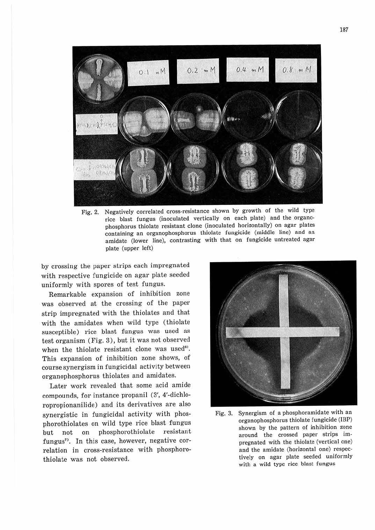

Fig. 2. Negatively correlated cross-resistance shown by growth of the wild type rice blast fungus (inoculated vertically on each plate) and the organophosphorus thiolate resistant clone (inoculated horizontally) on agar plates containing an organophosphorus thiolate fungicide (middle line) and an amidate (lower line), contrasting with that on fungicide untreated agar plate (upper left)

by crossing the paper strips each impregnated with respective fungicide on agar plate seeded uniformly with spores of test fungus.

Remarkable expansion of inhibition zone was observed at the crossing of the paper strip impregnated with the thiolates and that with the amidates when wild type (thiolate susceptible) rice blast fungus was used as test organism (Fig. 3), but it was not observed when the thiolate resistant clone was used<sup>8)</sup>. This expansion of inhibition zone shows, of course synergism in fungicidal activity between organophosphorus thiolates and amidates.

Later work revealed that some acid amide compounds, for instance propanil (3', 4'-dichloropropionanilide) and its derivatives are also synergistic in fungicidal activity with phosphorothiolates on wild type rice blast fungus but not on phosphorothiolate resistant fungus<sup>7</sup>. In this case, however, negative correlation in cross-resistance with phosphorothiolate was not observed.



Fig. 3. Synergism of a phosphoramidate with an organophosphorus thiolate fungicide (IBP) shown by the pattern of inhibition zone around the crossed paper strips impregnated with the thiolate (vertical one) and the amidate (horizontal one) respectively on agar plate seeded uniformly with a wild type rice blast fungus